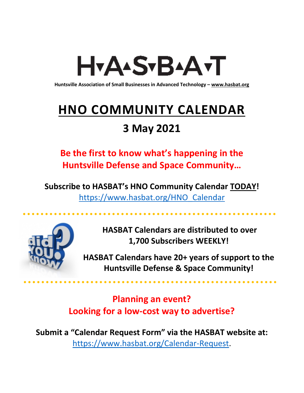# H<sub>Y</sub>AASTBAATT

**Huntsville Association of Small Businesses in Advanced Technology – [www.hasbat.org](http://www.hasbat.org/)**

# **HNO COMMUNITY CALENDAR**

# **3 May 2021**

**Be the first to know what's happening in the Huntsville Defense and Space Community…** 

**Subscribe to HASBAT's HNO Community Calendar TODAY!**  [https://www.hasbat.org/HNO\\_Calendar](https://www.hasbat.org/HNO_Calendar)



**HASBAT Calendars are distributed to over 1,700 Subscribers WEEKLY!**

**HASBAT Calendars have 20+ years of support to the Huntsville Defense & Space Community!** 

**Planning an event? Looking for a low-cost way to advertise?**

**Submit a "Calendar Request Form" via the HASBAT website at:**  [https://www.hasbat.org/Calendar-Request.](https://www.hasbat.org/Calendar-Request)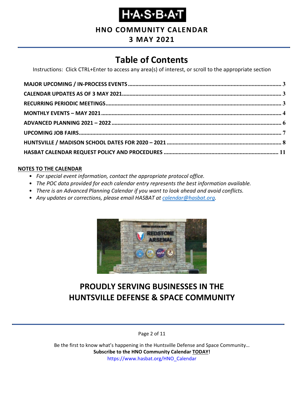

**HNO COMMUNITY CALENDAR**

# **3 MAY 2021**

# **Table of Contents**

Instructions: Click CTRL+Enter to access any area(s) of interest, or scroll to the appropriate section

#### **NOTES TO THE CALENDAR**

- *For special event information, contact the appropriate protocol office.*
- *The POC data provided for each calendar entry represents the best information available.*
- *There is an Advanced Planning Calendar if you want to look ahead and avoid conflicts.*
- *Any updates or corrections, please email HASBAT at [calendar@hasbat.org.](mailto:calendar@hasbat.org)*



# **PROUDLY SERVING BUSINESSES IN THE HUNTSVILLE DEFENSE & SPACE COMMUNITY**

Page 2 of 11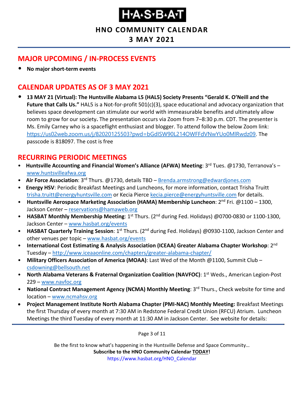#### **HNO COMMUNITY CALENDAR**

### **3 MAY 2021**

### <span id="page-2-0"></span>**MAJOR UPCOMING / IN-PROCESS EVENTS**

• **No major short-term events**

### <span id="page-2-1"></span>**CALENDAR UPDATES AS OF 3 MAY 2021**

• **13 MAY 21 (Virtual): The Huntsville Alabama L5 (HAL5) Society Presents "Gerald K. O'Neill and the Future that Calls Us."** HAL5 is a Not-for-profit 501(c)(3), space educational and advocacy organization that believes space development can stimulate our world with immeasurable benefits and ultimately allow room to grow for our society**.** The presentation occurs via Zoom from 7–8:30 p.m. CDT. The presenter is Ms. Emily Carney who is a spaceflight enthusiast and blogger. To attend follow the below Zoom link: <https://us02web.zoom.us/j/82020125503?pwd=bGdISW90L214OWFFdVNwYUo0MlRwdz09>. The passcode is 818097. The cost is free

### <span id="page-2-2"></span>**RECURRING PERIODIC MEETINGS**

- Huntsville Accounting and Financial Women's Alliance (AFWA) Meeting: 3<sup>rd</sup> Tues. @1730, Terranova's [www.huntsvilleafwa.org](http://www.huntsvilleafwa.org/)
- **Air Force Association**: 3<sup>rd</sup> Thurs. @1730, details TBD [Brenda.armstrong@edwardjones.com](mailto:Brenda.armstrong@edwardjones.com)
- **Energy HSV**: Periodic Breakfast Meetings and Luncheons, for more information, contact Trisha Truitt [trisha.truitt@energyhuntsville.com](mailto:trisha.truitt@energyhuntsville.com) or Kecia Pierce [kecia.pierce@energyhuntsville.com](mailto:kecia.pierce@energyhuntsville.com) for details.
- Huntsville Aerospace Marketing Association (HAMA) Membership Luncheon: 2<sup>nd</sup> Fri. @1100 1300, Jackson Center – [reservations@hamaweb.org](mailto:reservations@hamaweb.org)
- HASBAT Monthly Membership Meeting: 1<sup>st</sup> Thurs. (2<sup>nd</sup> during Fed. Holidays) @0700-0830 or 1100-1300, Jackson Center – [www.hasbat.org/events](http://www.hasbat.org/events)
- HASBAT Quarterly Training Session: 1<sup>st</sup> Thurs. (2<sup>nd</sup> during Fed. Holidays) @0930-1100, Jackson Center and other venues per topic – [www.hasbat.org/events](http://www.hasbat.org/events)
- **International Cost Estimating & Analysis Association (ICEAA) Greater Alabama Chapter Workshop**: 2nd Tuesday – <http://www.iceaaonline.com/chapters/greater-alabama-chapter/>
- **Military Officers Association of America (MOAA)**: Last Wed of the Month @1100, Summit Club [csdowning@bellsouth.net](mailto:csdowning@bellsouth.net)
- **North Alabama Veterans & Fraternal Organization Coalition (NAVFOC): 1<sup>st</sup> Weds., American Legion-Post** 229 – [www.navfoc.org](http://www.navfoc.org/)
- **National Contract Management Agency (NCMA) Monthly Meeting**: 3rd Thurs., Check website for time and location – [www.ncmahsv.org](http://www.ncmahsv.org/)
- **Project Management Institute North Alabama Chapter (PMI-NAC) Monthly Meeting:** Breakfast Meetings the first Thursday of every month at 7:30 AM in Redstone Federal Credit Union (RFCU) Atrium. Luncheon Meetings the third Tuesday of every month at 11:30 AM in Jackson Center. See website for details:

Page 3 of 11

Be the first to know what's happening in the Huntsville Defense and Space Community…

**Subscribe to the HNO Community Calendar TODAY!** 

https://www.hasbat.org/HNO\_Calendar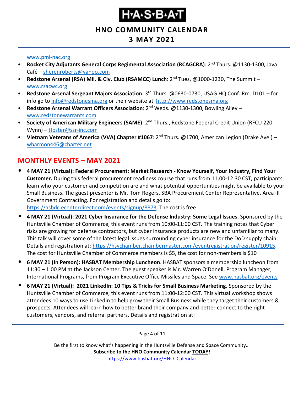#### **HNO COMMUNITY CALENDAR**

### **3 MAY 2021**

#### [www.pmi-nac.org](http://www.pmi-nac.org/)

- **Rocket City Adjutants General Corps Regimental Association (RCAGCRA)**: 2nd Thurs. @1130-1300, Java Café – [sherenroberts@yahoo.com](mailto:sherenroberts@yahoo.com)
- **Redstone Arsenal (RSA) Mil. & Civ. Club (RSAMCC) Lunch**: 2nd Tues, @1000-1230, The Summit [www.rsacwc.org](http://www.rsacwc.org/)
- **Redstone Arsenal Sergeant Majors Association**: 3rd Thurs. @0630-0730, USAG HQ Conf. Rm. D101 for info go to [info@redstonesma.org](mailto:info@redstonesma.org) or their website at [http://www.redstonesma.org](http://www.redstonesma.org/)
- **Redstone Arsenal Warrant Officers Association**: 2nd Weds. @1130-1300, Bowling Alley [www.redstonewarrants.com](http://www.redstonewarrants.com/)
- **Society of American Military Engineers (SAME)**: 2nd Thurs., Redstone Federal Credit Union (RFCU 220 Wynn) – [tfoster@ssr-inc.com](mailto:tfoster@ssr-inc.com)
- **Vietnam Veterans of America (VVA) Chapter #1067**: 2nd Thurs. @1700, American Legion (Drake Ave.) [wharmon446@charter.net](mailto:wharmon446@charter.net)

### <span id="page-3-0"></span>**MONTHLY EVENTS – MAY 2021**

- **4 MAY 21 (Virtual): Federal Procurement: Market Research - Know Yourself, Your Industry, Find Your Customer.** During this federal procurement readiness course that runs from 11:00-12:30 CST, participants learn who your customer and competition are and what potential opportunities might be available to your Small Business. The guest presenter is Mr. Tom Rogers, SBA Procurement Center Representative, Area III Government Contracting. For registration and details go to: [https://asbdc.ecenterdirect.com/events/signup/8873.](https://asbdc.ecenterdirect.com/events/signup/8873) The cost is free
- **4 MAY 21 (Virtual): 2021 Cyber Insurance for the Defense Industry: Some Legal Issues.** Sponsored by the Huntsville Chamber of Commerce, this event runs from 10:00-11:00 CST. The training notes that Cyber risks are growing for defense contractors, but cyber insurance products are new and unfamiliar to many. This talk will cover some of the latest legal issues surrounding cyber insurance for the DoD supply chain. Details and registration at: [https://hsvchamber.chambermaster.com/eventregistration/register/10915.](https://hsvchamber.chambermaster.com/eventregistration/register/10915) The cost for Huntsville Chamber of Commerce members is \$5, the cost for non-members is \$10
- **6 MAY 21 (In Person): HASBAT Membership Luncheon**. HASBAT sponsors a membership luncheon from 11:30 – 1:00 PM at the Jackson Center. The guest speaker is Mr. Warren O'Donell, Program Manager, International Programs, from Program Executive Office Missiles and Space. See [www.hasbat.org/events](http://www.hasbat.org/events)
- **6 MAY 21 (Virtual): 2021 LinkedIn: 10 Tips & Tricks for Small Business Marketing.** Sponsored by the Huntsville Chamber of Commerce, this event runs from 11:00-12:00 CST. This virtual workshop shows attendees 10 ways to use LinkedIn to help grow their Small Business while they target their customers & prospects. Attendees will learn how to better brand their company and better connect to the right customers, vendors, and referral partners. Details and registration at:

Page 4 of 11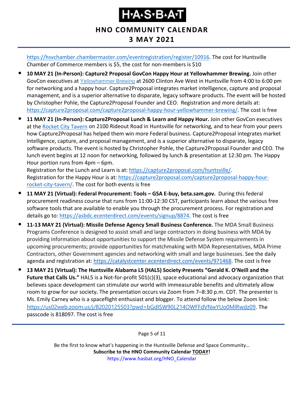### **HNO COMMUNITY CALENDAR 3 MAY 2021**

[https://hsvchamber.chambermaster.com/eventregistration/register/10916.](https://hsvchamber.chambermaster.com/eventregistration/register/10916) The cost for Huntsville Chamber of Commerce members is \$5, the cost for non-members is \$10

- **10 MAY 21 (In-Person): Capture2 Proposal GovCon Happy Hour at Yellowhammer Brewing.** Join other GovCon executives at [Yellowhammer](https://www.yellowhammerbrewery.com/) Brewing at 2600 Clinton Ave West in Huntsville from 4:00 to 6:00 pm for networking and a happy hour. Capture2Proposal integrates market intelligence, capture and proposal management, and is a superior alternative to disparate, legacy software products. The event will be hosted by Christopher Pohle, the Capture2Proposal Founder and CEO. Registration and more details at: [https://capture2proposal.com/capture2proposal-happy-hour-yellowhammer-brewing/.](https://capture2proposal.com/capture2proposal-happy-hour-yellowhammer-brewing/) The cost is free
- **11 MAY 21 (In-Person): Capture2Proposal Lunch & Learn and Happy Hour.** Join other GovCon executives at the [Rocket City Tavern](https://www.rocketcitytavern.com/) on 2100 Rideout Road in Huntsville for networking, and to hear from your peers how Capture2Proposal has helped them win more Federal business. Capture2Proposal integrates market intelligence, capture, and proposal management, and is a superior alternative to disparate, legacy software products. The event is hosted by Christopher Pohle, the Capture2Proposal Founder and CEO. The lunch event begins at 12 noon for networking, followed by lunch & presentation at 12:30 pm. The Happy Hour portion runs from 4pm – 6pm.

Registration for the Lunch and Learn is at: [https://capture2proposal.com/huntsville/.](https://capture2proposal.com/huntsville/) Registration for the Happy Hour is at: [https://capture2proposal.com/capture2proposal-happy-hour](https://capture2proposal.com/capture2proposal-happy-hour-rocket-city-tavern/)[rocket-city-tavern/.](https://capture2proposal.com/capture2proposal-happy-hour-rocket-city-tavern/) The cost for both events is free

- **11 MAY 21 (Virtual): Federal Procurement: Tools – GSA E-buy, beta.sam.gov.** During this federal procurement readiness course that runs from 11:00-12:30 CST, participants learn about the various free software tools that are available to enable you through the procurement process. For registration and details go to: [https://asbdc.ecenterdirect.com/events/signup/8874.](https://asbdc.ecenterdirect.com/events/signup/8874) The cost is free
- **11-13 MAY 21 (Virtual): Missile Defense Agency Small Business Conference.** The MDA Small Business Programs Conference is designed to assist small and large contractors in doing business with MDA by providing information about opportunities to support the Missile Defense System requirements in upcoming procurements; provide opportunities for matchmaking with MDA Representatives, MDA Prime Contractors, other Government agencies and networking with small and large businesses. See the daily agenda and registration at: [https://catalystcenter.ecenterdirect.com/events/971468.](https://catalystcenter.ecenterdirect.com/events/971468) The cost is free
- **13 MAY 21 (Virtual): The Huntsville Alabama L5 (HAL5) Society Presents "Gerald K. O'Neill and the Future that Calls Us."** HAL5 is a Not-for-profit 501(c)(3), space educational and advocacy organization that believes space development can stimulate our world with immeasurable benefits and ultimately allow room to grow for our society**.** The presentation occurs via Zoom from 7–8:30 p.m. CDT. The presenter is Ms. Emily Carney who is a spaceflight enthusiast and blogger. To attend follow the below Zoom link: <https://us02web.zoom.us/j/82020125503?pwd=bGdISW90L214OWFFdVNwYUo0MlRwdz09>. The passcode is 818097. The cost is free

Page 5 of 11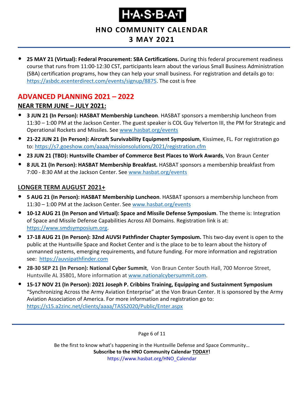**HNO COMMUNITY CALENDAR**

# **3 MAY 2021**

• **25 MAY 21 (Virtual): Federal Procurement: SBA Certifications.** During this federal procurement readiness course that runs from 11:00-12:30 CST, participants learn about the various Small Business Administration (SBA) certification programs, how they can help your small business. For registration and details go to: [https://asbdc.ecenterdirect.com/events/signup/8875.](https://asbdc.ecenterdirect.com/events/signup/8875) The cost is free

## <span id="page-5-0"></span>**ADVANCED PLANNING 2021 – 2022 NEAR TERM JUNE – JULY 2021:**

- **3 JUN 21 (In Person): HASBAT Membership Luncheon**. HASBAT sponsors a membership luncheon from 11:30 – 1:00 PM at the Jackson Center. The guest speaker is COL Guy Yelverton III, the PM for Strategic and Operational Rockets and Missiles. See [www.hasbat.org/events](http://www.hasbat.org/events)
- **21-22 JUN 21 (In Person): Aircraft Survivability Equipment Symposium**, Kissimee, FL. For registration go to:<https://s7.goeshow.com/aaaa/missionsolutions/2021/registration.cfm>
- **23 JUN 21 (TBD): Huntsville Chamber of Commerce Best Places to Work Awards**, Von Braun Center
- **8 JUL 21 (In Person): HASBAT Membership Breakfast.** HASBAT sponsors a membership breakfast from 7:00 - 8:30 AM at the Jackson Center. See [www.hasbat.org/events](http://www.hasbat.org/events)

#### **LONGER TERM AUGUST 2021+**

- **5 AUG 21 (In Person): HASBAT Membership Luncheon**. HASBAT sponsors a membership luncheon from 11:30 – 1:00 PM at the Jackson Center. See [www.hasbat.org/events](http://www.hasbat.org/events)
- **10-12 AUG 21 (In Person and Virtual): Space and Missile Defense Symposium**. The theme is: Integration of Space and Missile Defense Capabilities Across All Domains. Registration link is at: [https://www.smdsymposium.org.](https://www.smdsymposium.org/)
- **17-18 AUG 21 (In Person): 32nd AUVSI Pathfinder Chapter Symposium.** This two-day event is open to the public at the Huntsville Space and Rocket Center and is the place to be to learn about the history of unmanned systems, emerging requirements, and future funding. For more information and registration see: [https://auvsipathfinder.com](https://auvsipathfinder.com/)
- **28-30 SEP 21 (In Person): National Cyber Summit**, Von Braun Center South Hall, 700 Monroe Street, Huntsville AL 35801, More information at [www.nationalcybersummit.com.](http://www.nationalcybersummit.com/)
- **15-17 NOV 21 (In Person): 2021 Joseph P. Cribbins Training, Equipping and Sustainment Symposium** "Synchronizing Across the Army Aviation Enterprise" at the Von Braun Center. It is sponsored by the Army Aviation Association of America. For more information and registration go to: <https://s15.a2zinc.net/clients/aaaa/TASS2020/Public/Enter.aspx>

Page 6 of 11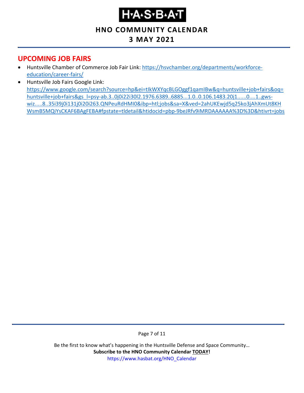# **Н-А-S-В-А-Т**

### **HNO COMMUNITY CALENDAR**

# **3 MAY 2021**

### <span id="page-6-0"></span>**UPCOMING JOB FAIRS**

- Huntsville Chamber of Commerce Job Fair Link: [https://hsvchamber.org/departments/workforce](https://hsvchamber.org/departments/workforce-education/career-fairs/)[education/career-fairs/](https://hsvchamber.org/departments/workforce-education/career-fairs/)
- Huntsville Job Fairs Google Link: [https://www.google.com/search?source=hp&ei=tIkWXYqcBLGOggf1qamIBw&q=huntsville+job+fairs&oq=](https://www.google.com/search?source=hp&ei=tIkWXYqcBLGOggf1qamIBw&q=huntsville+job+fairs&oq=huntsville+job+fairs&gs_l=psy-ab.3..0j0i22i30l2.1976.6389..6885...1.0..0.106.1483.20j1......0....1..gws-wiz.....8..35i39j0i131j0i20i263.QNPeuRdHMI0&ibp=htl;jobs&sa=X&ved=2ahUKEwjd5q25ko3jAhXmUt8KHWsmB5MQiYsCKAF6BAgFEBA#fpstate=tldetail&htidocid=pbp-9beJRfv9iMRDAAAAAA%3D%3D&htivrt=jobs) [huntsville+job+fairs&gs\\_l=psy-ab.3..0j0i22i30l2.1976.6389..6885...1.0..0.106.1483.20j1......0....1..gws](https://www.google.com/search?source=hp&ei=tIkWXYqcBLGOggf1qamIBw&q=huntsville+job+fairs&oq=huntsville+job+fairs&gs_l=psy-ab.3..0j0i22i30l2.1976.6389..6885...1.0..0.106.1483.20j1......0....1..gws-wiz.....8..35i39j0i131j0i20i263.QNPeuRdHMI0&ibp=htl;jobs&sa=X&ved=2ahUKEwjd5q25ko3jAhXmUt8KHWsmB5MQiYsCKAF6BAgFEBA#fpstate=tldetail&htidocid=pbp-9beJRfv9iMRDAAAAAA%3D%3D&htivrt=jobs)[wiz.....8..35i39j0i131j0i20i263.QNPeuRdHMI0&ibp=htl;jobs&sa=X&ved=2ahUKEwjd5q25ko3jAhXmUt8KH](https://www.google.com/search?source=hp&ei=tIkWXYqcBLGOggf1qamIBw&q=huntsville+job+fairs&oq=huntsville+job+fairs&gs_l=psy-ab.3..0j0i22i30l2.1976.6389..6885...1.0..0.106.1483.20j1......0....1..gws-wiz.....8..35i39j0i131j0i20i263.QNPeuRdHMI0&ibp=htl;jobs&sa=X&ved=2ahUKEwjd5q25ko3jAhXmUt8KHWsmB5MQiYsCKAF6BAgFEBA#fpstate=tldetail&htidocid=pbp-9beJRfv9iMRDAAAAAA%3D%3D&htivrt=jobs) [WsmB5MQiYsCKAF6BAgFEBA#fpstate=tldetail&htidocid=pbp-9beJRfv9iMRDAAAAAA%3D%3D&htivrt=jobs](https://www.google.com/search?source=hp&ei=tIkWXYqcBLGOggf1qamIBw&q=huntsville+job+fairs&oq=huntsville+job+fairs&gs_l=psy-ab.3..0j0i22i30l2.1976.6389..6885...1.0..0.106.1483.20j1......0....1..gws-wiz.....8..35i39j0i131j0i20i263.QNPeuRdHMI0&ibp=htl;jobs&sa=X&ved=2ahUKEwjd5q25ko3jAhXmUt8KHWsmB5MQiYsCKAF6BAgFEBA#fpstate=tldetail&htidocid=pbp-9beJRfv9iMRDAAAAAA%3D%3D&htivrt=jobs)

Page 7 of 11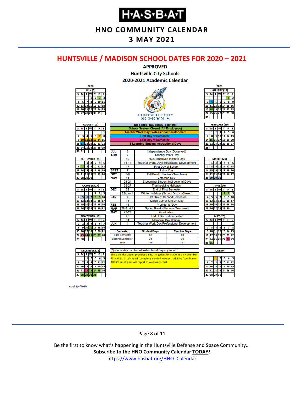**HNO COMMUNITY CALENDAR**

### **3 MAY 2021**

#### <span id="page-7-0"></span>**HUNTSVILLE / MADISON SCHOOL DATES FOR 2020 – 2021**



As of 6/4/2020

#### Page 8 of 11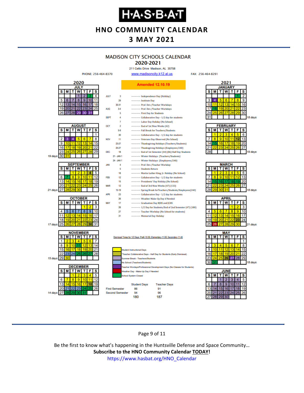**HNO COMMUNITY CALENDAR**

## **3 MAY 2021**

### **MADISON CITY SCHOOLS CALENDAR**

2020-2021 211 Celtic Drive Madison, AL 35758

FAX: 256-464-8291



Page 9 of 11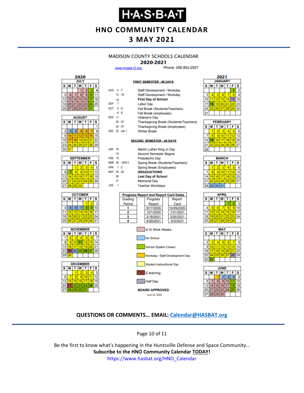# **Н-А-S-В-А-Т**

**HNO COMMUNITY CALENDAR**

### **3 MAY 2021**

#### **MADISON COUNTY SCHOOLS CALENDAR**

#### 2020-2021

**FIRST SEMESTER - 88 DAYS** 

www.mcssk12.org

Phone: 256-852-2557

| 2020        |    |    |                |       |    |    |  |  |
|-------------|----|----|----------------|-------|----|----|--|--|
| <b>JULY</b> |    |    |                |       |    |    |  |  |
| S<br>s<br>F |    |    |                |       |    |    |  |  |
|             |    |    |                | 2     |    |    |  |  |
| 5           | 6  |    | 8              | ٥     |    |    |  |  |
| 12          | 13 |    | 5              | 16    |    | 18 |  |  |
| 19          | 20 | 21 |                | 22 23 | 24 | 25 |  |  |
|             |    |    | 26 27 28 29 30 |       | 31 |    |  |  |

|    | <b>AUGUST</b> |              |                   |    |    |    |  |  |  |
|----|---------------|--------------|-------------------|----|----|----|--|--|--|
| s  | М             | W<br>F<br>T. |                   |    |    |    |  |  |  |
|    |               |              |                   |    |    |    |  |  |  |
| 2  | 3             | 4            | 5                 | 6  |    | 8  |  |  |  |
| 9  | 10            | 11           | $12 \overline{ }$ | 13 | Δ  | 15 |  |  |  |
| 16 | 17            | 18           | 19 20             |    | 21 | 22 |  |  |  |
| 23 | 24            |              | 25 26 27          |    | 28 | 29 |  |  |  |
| 30 | 31            |              |                   |    |    |    |  |  |  |

| <b>SEPTEMBER</b> |    |                  |          |  |    |    |  |  |  |
|------------------|----|------------------|----------|--|----|----|--|--|--|
| s                | М  | W<br>F<br>S<br>т |          |  |    |    |  |  |  |
|                  |    |                  | 2        |  |    |    |  |  |  |
| 6                |    | 8                | ٥        |  |    | 12 |  |  |  |
| 13               |    | 15 <sup>1</sup>  | 16       |  | 18 | g  |  |  |  |
| 20               | 21 |                  | 22 23 24 |  | 25 | 26 |  |  |  |
| 27               | 28 | 29 <sub>1</sub>  | 30       |  |    |    |  |  |  |







| AUG 5-7          |    |                | Staff Development / Workday                  |  |  |  |  |
|------------------|----|----------------|----------------------------------------------|--|--|--|--|
|                  |    | $10 - 18$      | Staff Development / Workday                  |  |  |  |  |
|                  | 19 |                | <b>First Day of School</b>                   |  |  |  |  |
| SEP <sub>7</sub> |    |                | <b>Labor Day</b>                             |  |  |  |  |
| OCT 5-9          |    |                | Fall Break (Students/Teachers)               |  |  |  |  |
|                  |    | $8 - 9$        | Fall Break (employees)                       |  |  |  |  |
| <b>NOV 11</b>    |    |                | <b>Veteran's Day</b>                         |  |  |  |  |
|                  |    | 24 - 27        | Thanksgiving Break (Students/Teachers)       |  |  |  |  |
|                  |    | $25 - 27$      | <b>Thanksgiving Break (employees)</b>        |  |  |  |  |
|                  |    | DEC 22 - Jan 1 | <b>Winter Break</b>                          |  |  |  |  |
|                  |    |                |                                              |  |  |  |  |
|                  |    |                | <b>SECOND SEMESTER - 88 DAYS</b>             |  |  |  |  |
|                  |    |                |                                              |  |  |  |  |
| <b>JAN</b>       | 18 |                | Martin Luther King Jr Day                    |  |  |  |  |
|                  | 19 |                | <b>Second Semester Begins</b>                |  |  |  |  |
| <b>FEB</b> 15    |    |                | <b>President's Day</b>                       |  |  |  |  |
|                  |    | MAR 29 - APR 2 | Spring Break (Students/Teachers)             |  |  |  |  |
| APR 1 -2         |    |                | Spring Break (Employees)                     |  |  |  |  |
| MAY 25 -26       |    |                | <b>GRADUATIONS</b>                           |  |  |  |  |
|                  | 28 |                | <b>Last Day of School</b>                    |  |  |  |  |
|                  | 31 |                | <b>Memorial Day</b>                          |  |  |  |  |
| <b>JUN</b>       | -1 |                | <b>Teacher Workdays</b>                      |  |  |  |  |
|                  |    |                |                                              |  |  |  |  |
|                  |    |                | <b>Progress Report and Report Card Dates</b> |  |  |  |  |
|                  |    | Grading        | Progress<br>Report                           |  |  |  |  |
|                  |    | Period         | Report<br>Card                               |  |  |  |  |
|                  |    | 1              | 9/17/2020<br>10/29/2020                      |  |  |  |  |
|                  |    | 2              | 12/1/2020<br>1/21/2021                       |  |  |  |  |
|                  |    | 3              | 2/18/2021<br>3/25/2021                       |  |  |  |  |
|                  |    | 4              | 4/29/2021<br>6/3/2021                        |  |  |  |  |



| 2021 |                |    |    |    |    |    |  |  |  |  |
|------|----------------|----|----|----|----|----|--|--|--|--|
|      | <b>JANUARY</b> |    |    |    |    |    |  |  |  |  |
| S    | W<br>s<br>F    |    |    |    |    |    |  |  |  |  |
|      |                |    |    |    |    | 2  |  |  |  |  |
| 3    |                | 5  | 6  |    | g  |    |  |  |  |  |
| 10   |                | 12 | 13 | 14 | 15 | 16 |  |  |  |  |
|      |                | 19 | 20 | 21 | 22 | 23 |  |  |  |  |
| 24   | 25             | 26 | 27 | 28 | 29 | 30 |  |  |  |  |
| 31   |                |    |    |    |    |    |  |  |  |  |
|      |                |    |    |    |    |    |  |  |  |  |

| <b>FEBRUARY</b> |   |    |                 |    |    |    |  |  |
|-----------------|---|----|-----------------|----|----|----|--|--|
| S               |   |    | W               | т  | F  | s  |  |  |
|                 |   | 2  | 3               |    |    | ĥ  |  |  |
|                 | R | g) | 10              |    | 12 | 13 |  |  |
|                 |   | 16 | 17 <sup>1</sup> | 18 | 19 | 20 |  |  |
|                 |   |    | 23 24 25 26 27  |    |    |    |  |  |
|                 |   |    |                 |    |    |    |  |  |

| <b>MARCH</b> |                 |    |    |    |    |    |  |  |  |
|--------------|-----------------|----|----|----|----|----|--|--|--|
| s            | М               | T. | W  | т  | F  | s  |  |  |  |
|              |                 | 2  |    |    |    | 6  |  |  |  |
|              | 8               | 9  | 10 |    | 12 |    |  |  |  |
| 14           | 15 <sup>1</sup> | 16 | 17 | 18 | 19 | 20 |  |  |  |
| 21           | 22 <sub>1</sub> | 23 | 24 | 25 | 26 | 27 |  |  |  |
|              | 28 29 30 31     |    |    |    |    |    |  |  |  |
|              |                 |    |    |    |    |    |  |  |  |

| APRIL |          |                |   |    |    |    |  |  |  |
|-------|----------|----------------|---|----|----|----|--|--|--|
| s     | M        | т              | W | т  | F  | s  |  |  |  |
|       |          |                |   |    |    | 3  |  |  |  |
|       |          | 6              |   | 8  | 9  | 10 |  |  |  |
| 11    |          | 12 13 14       |   | 15 | 16 | 17 |  |  |  |
| 18    |          | 19 20 21 22 23 |   |    |    | 24 |  |  |  |
| 25    | 26 27 28 |                |   | 29 | 30 |    |  |  |  |
|       |          |                |   |    |    |    |  |  |  |





#### **QUESTIONS OR COMMENTS… EMAIL: [Calendar@HASBAT.org](mailto:calendar@hasbat.org)**

Page 10 of 11